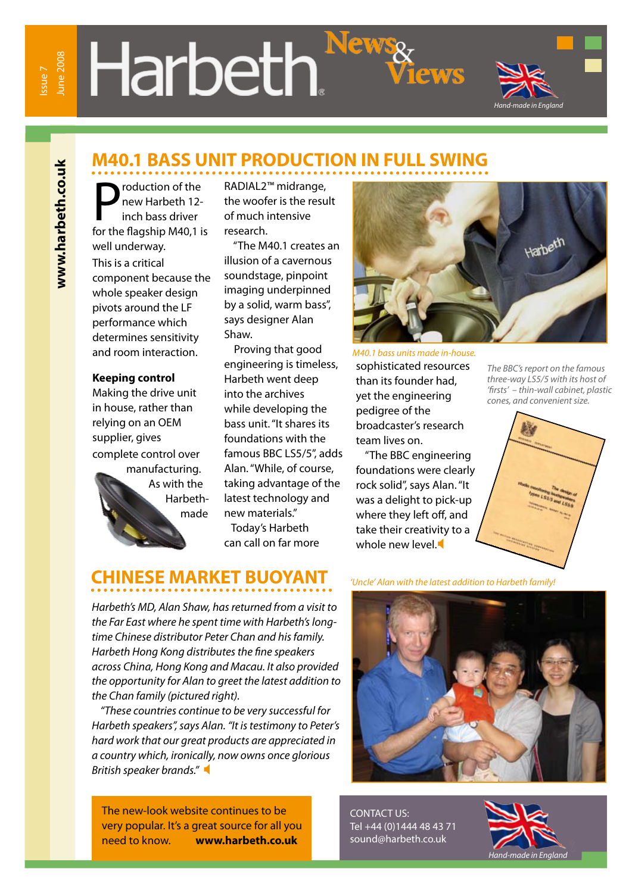**www.harbeth.co.uk**

www.harbeth.co.uk

# **Harbeth.**



### **M40.1 BASS UNIT PRODUCTION IN FULL SWING**

**P** roduction of the<br>
new Harbeth 12-<br>
inch bass driver<br>
for the flagship M40,1 is roduction of the new Harbeth 12 inch bass driver well underway. This is a critical component because the whole speaker design pivots around the LF performance which determines sensitivity and room interaction.

#### **Keeping control**

Making the drive unit in house, rather than relying on an OEM supplier, gives complete control over manufacturing. As with the Harbethmade

RADIAL2™ midrange, the woofer is the result of much intensive research.

 "The M40.1 creates an illusion of a cavernous soundstage, pinpoint imaging underpinned by a solid, warm bass", says designer Alan Shaw.

 Proving that good engineering is timeless, Harbeth went deep into the archives while developing the bass unit. "It shares its foundations with the famous BBC LS5/5", adds Alan. "While, of course, taking advantage of the latest technology and new materials."

 Today's Harbeth can call on far more



sophisticated resources than its founder had, yet the engineering pedigree of the broadcaster's research team lives on.

 "The BBC engineering foundations were clearly rock solid", says Alan. "It was a delight to pick-up where they left off, and take their creativity to a whole new level.

*The BBC's report on the famous three-way LS5/5 with its host of 'firsts' – thin-wall cabinet, plastic cones, and convenient size.*



### **CHINESE MARKET BUOYANT**

*Harbeth's MD, Alan Shaw, has returned from a visit to the Far East where he spent time with Harbeth's longtime Chinese distributor Peter Chan and his family. Harbeth Hong Kong distributes the fine speakers across China, Hong Kong and Macau. It also provided the opportunity for Alan to greet the latest addition to the Chan family (pictured right).*

 *"These countries continue to be very successful for Harbeth speakers", says Alan. "It is testimony to Peter's hard work that our great products are appreciated in a country which, ironically, now owns once glorious British speaker brands."* 

*'Uncle' Alan with the latest addition to Harbeth family!*

The new-look website continues to be very popular. It's a great source for all you need to know. **www.harbeth.co.uk**

CONTACT US: Tel +44 (0)1444 48 43 71 sound@harbeth.co.uk